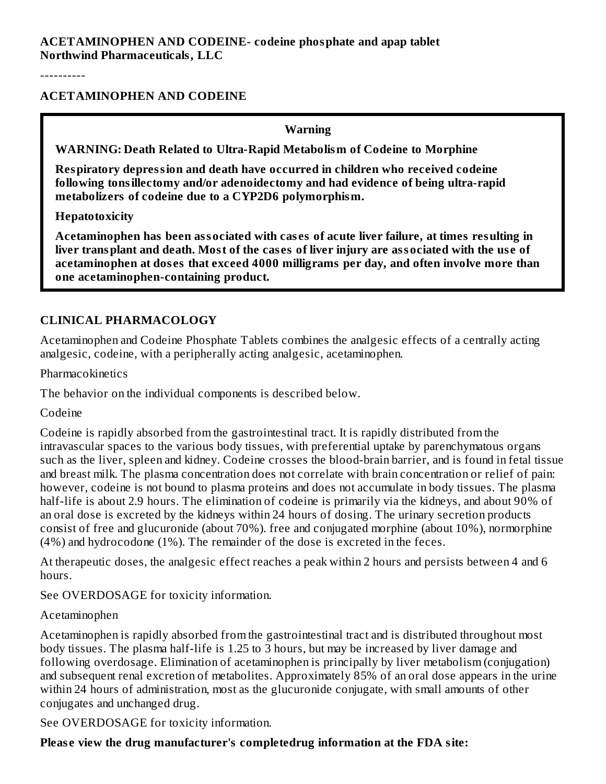----------

#### **ACETAMINOPHEN AND CODEINE**

**Warning**

**WARNING: Death Related to Ultra-Rapid Metabolism of Codeine to Morphine**

**Respiratory depression and death have occurred in children who received codeine following tonsillectomy and/or adenoidectomy and had evidence of being ultra-rapid metabolizers of codeine due to a CYP2D6 polymorphism.**

**Hepatotoxicity**

**Acetaminophen has been associated with cas es of acute liver failure, at times resulting in** liver transplant and death. Most of the cases of liver injury are associated with the use of **acetaminophen at dos es that exceed 4000 milligrams per day, and often involve more than one acetaminophen-containing product.**

## **CLINICAL PHARMACOLOGY**

Acetaminophen and Codeine Phosphate Tablets combines the analgesic effects of a centrally acting analgesic, codeine, with a peripherally acting analgesic, acetaminophen.

Pharmacokinetics

The behavior on the individual components is described below.

Codeine

Codeine is rapidly absorbed from the gastrointestinal tract. It is rapidly distributed from the intravascular spaces to the various body tissues, with preferential uptake by parenchymatous organs such as the liver, spleen and kidney. Codeine crosses the blood-brain barrier, and is found in fetal tissue and breast milk. The plasma concentration does not correlate with brain concentration or relief of pain: however, codeine is not bound to plasma proteins and does not accumulate in body tissues. The plasma half-life is about 2.9 hours. The elimination of codeine is primarily via the kidneys, and about 90% of an oral dose is excreted by the kidneys within 24 hours of dosing. The urinary secretion products consist of free and glucuronide (about 70%). free and conjugated morphine (about 10%), normorphine (4%) and hydrocodone (1%). The remainder of the dose is excreted in the feces.

At therapeutic doses, the analgesic effect reaches a peak within 2 hours and persists between 4 and 6 hours.

See OVERDOSAGE for toxicity information.

#### Acetaminophen

Acetaminophen is rapidly absorbed from the gastrointestinal tract and is distributed throughout most body tissues. The plasma half-life is 1.25 to 3 hours, but may be increased by liver damage and following overdosage. Elimination of acetaminophen is principally by liver metabolism (conjugation) and subsequent renal excretion of metabolites. Approximately 85% of an oral dose appears in the urine within 24 hours of administration, most as the glucuronide conjugate, with small amounts of other conjugates and unchanged drug.

See OVERDOSAGE for toxicity information.

## **Pleas e view the drug manufacturer's completedrug information at the FDA site:**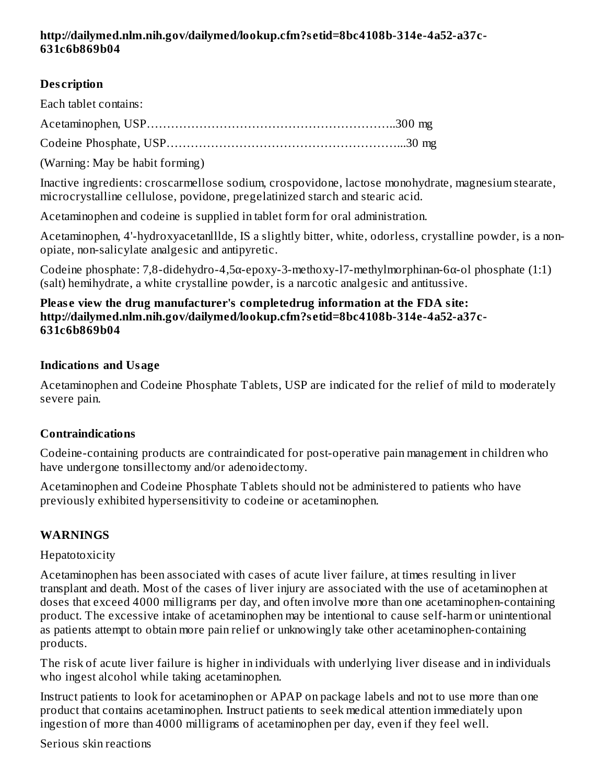#### **http://dailymed.nlm.nih.gov/dailymed/lookup.cfm?s etid=8bc4108b-314e-4a52-a37c-631c6b869b04**

## **Des cription**

Each tablet contains:

Acetaminophen, USP……………………………………………………..300 mg

Codeine Phosphate, USP…………………………………………………...30 mg

(Warning: May be habit forming)

Inactive ingredients: croscarmellose sodium, crospovidone, lactose monohydrate, magnesium stearate, microcrystalline cellulose, povidone, pregelatinized starch and stearic acid.

Acetaminophen and codeine is supplied in tablet form for oral administration.

Acetaminophen, 4'-hydroxyacetanlllde, IS a slightly bitter, white, odorless, crystalline powder, is a nonopiate, non-salicylate analgesic and antipyretic.

Codeine phosphate: 7,8-didehydro-4,5α-epoxy-3-methoxy-l7-methylmorphinan-6α-ol phosphate (1:1) (salt) hemihydrate, a white crystalline powder, is a narcotic analgesic and antitussive.

#### **Pleas e view the drug manufacturer's completedrug information at the FDA site: http://dailymed.nlm.nih.gov/dailymed/lookup.cfm?s etid=8bc4108b-314e-4a52-a37c-631c6b869b04**

## **Indications and Usage**

Acetaminophen and Codeine Phosphate Tablets, USP are indicated for the relief of mild to moderately severe pain.

# **Contraindications**

Codeine-containing products are contraindicated for post-operative pain management in children who have undergone tonsillectomy and/or adenoidectomy.

Acetaminophen and Codeine Phosphate Tablets should not be administered to patients who have previously exhibited hypersensitivity to codeine or acetaminophen.

# **WARNINGS**

## Hepatotoxicity

Acetaminophen has been associated with cases of acute liver failure, at times resulting in liver transplant and death. Most of the cases of liver injury are associated with the use of acetaminophen at doses that exceed 4000 milligrams per day, and often involve more than one acetaminophen-containing product. The excessive intake of acetaminophen may be intentional to cause self-harm or unintentional as patients attempt to obtain more pain relief or unknowingly take other acetaminophen-containing products.

The risk of acute liver failure is higher in individuals with underlying liver disease and in individuals who ingest alcohol while taking acetaminophen.

Instruct patients to look for acetaminophen or APAP on package labels and not to use more than one product that contains acetaminophen. Instruct patients to seek medical attention immediately upon ingestion of more than 4000 milligrams of acetaminophen per day, even if they feel well.

## Serious skin reactions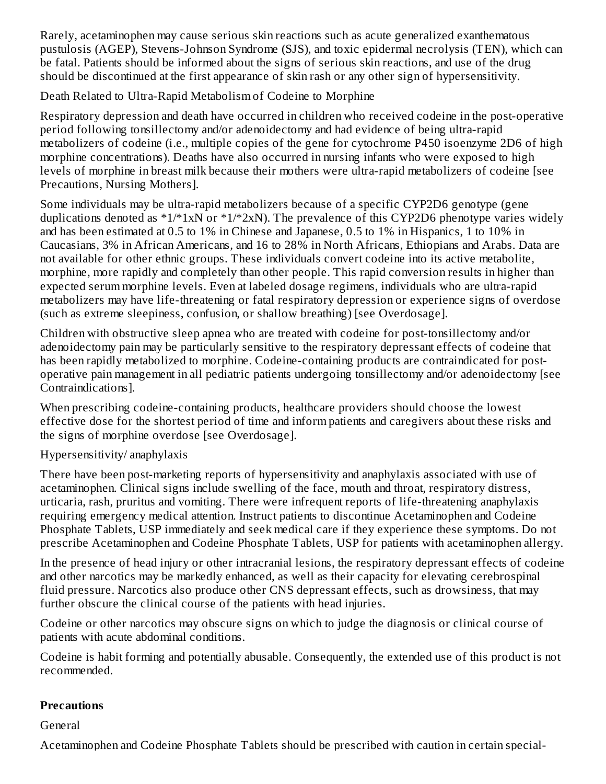Rarely, acetaminophen may cause serious skin reactions such as acute generalized exanthematous pustulosis (AGEP), Stevens-Johnson Syndrome (SJS), and toxic epidermal necrolysis (TEN), which can be fatal. Patients should be informed about the signs of serious skin reactions, and use of the drug should be discontinued at the first appearance of skin rash or any other sign of hypersensitivity.

Death Related to Ultra-Rapid Metabolism of Codeine to Morphine

Respiratory depression and death have occurred in children who received codeine in the post-operative period following tonsillectomy and/or adenoidectomy and had evidence of being ultra-rapid metabolizers of codeine (i.e., multiple copies of the gene for cytochrome P450 isoenzyme 2D6 of high morphine concentrations). Deaths have also occurred in nursing infants who were exposed to high levels of morphine in breast milk because their mothers were ultra-rapid metabolizers of codeine [see Precautions, Nursing Mothers].

Some individuals may be ultra-rapid metabolizers because of a specific CYP2D6 genotype (gene duplications denoted as  $*1/*1xN$  or  $*1/*2xN$ ). The prevalence of this CYP2D6 phenotype varies widely and has been estimated at 0.5 to 1% in Chinese and Japanese, 0.5 to 1% in Hispanics, 1 to 10% in Caucasians, 3% in African Americans, and 16 to 28% in North Africans, Ethiopians and Arabs. Data are not available for other ethnic groups. These individuals convert codeine into its active metabolite, morphine, more rapidly and completely than other people. This rapid conversion results in higher than expected serum morphine levels. Even at labeled dosage regimens, individuals who are ultra-rapid metabolizers may have life-threatening or fatal respiratory depression or experience signs of overdose (such as extreme sleepiness, confusion, or shallow breathing) [see Overdosage].

Children with obstructive sleep apnea who are treated with codeine for post-tonsillectomy and/or adenoidectomy pain may be particularly sensitive to the respiratory depressant effects of codeine that has been rapidly metabolized to morphine. Codeine-containing products are contraindicated for postoperative pain management in all pediatric patients undergoing tonsillectomy and/or adenoidectomy [see Contraindications].

When prescribing codeine-containing products, healthcare providers should choose the lowest effective dose for the shortest period of time and inform patients and caregivers about these risks and the signs of morphine overdose [see Overdosage].

## Hypersensitivity/ anaphylaxis

There have been post-marketing reports of hypersensitivity and anaphylaxis associated with use of acetaminophen. Clinical signs include swelling of the face, mouth and throat, respiratory distress, urticaria, rash, pruritus and vomiting. There were infrequent reports of life-threatening anaphylaxis requiring emergency medical attention. Instruct patients to discontinue Acetaminophen and Codeine Phosphate Tablets, USP immediately and seek medical care if they experience these symptoms. Do not prescribe Acetaminophen and Codeine Phosphate Tablets, USP for patients with acetaminophen allergy.

In the presence of head injury or other intracranial lesions, the respiratory depressant effects of codeine and other narcotics may be markedly enhanced, as well as their capacity for elevating cerebrospinal fluid pressure. Narcotics also produce other CNS depressant effects, such as drowsiness, that may further obscure the clinical course of the patients with head injuries.

Codeine or other narcotics may obscure signs on which to judge the diagnosis or clinical course of patients with acute abdominal conditions.

Codeine is habit forming and potentially abusable. Consequently, the extended use of this product is not recommended.

# **Precautions**

General

Acetaminophen and Codeine Phosphate Tablets should be prescribed with caution in certain special-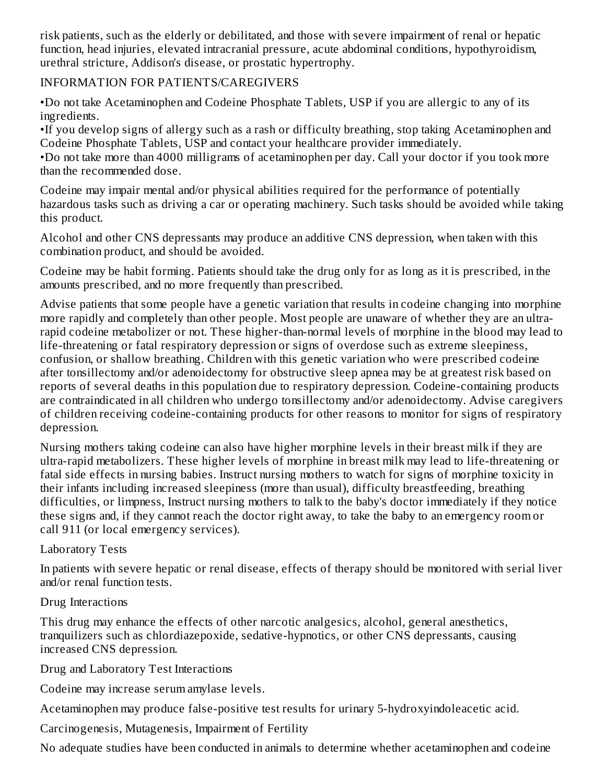risk patients, such as the elderly or debilitated, and those with severe impairment of renal or hepatic function, head injuries, elevated intracranial pressure, acute abdominal conditions, hypothyroidism, urethral stricture, Addison's disease, or prostatic hypertrophy.

## INFORMATION FOR PATIENTS/CAREGIVERS

•Do not take Acetaminophen and Codeine Phosphate Tablets, USP if you are allergic to any of its ingredients.

•If you develop signs of allergy such as a rash or difficulty breathing, stop taking Acetaminophen and Codeine Phosphate Tablets, USP and contact your healthcare provider immediately.

•Do not take more than 4000 milligrams of acetaminophen per day. Call your doctor if you took more than the recommended dose.

Codeine may impair mental and/or physical abilities required for the performance of potentially hazardous tasks such as driving a car or operating machinery. Such tasks should be avoided while taking this product.

Alcohol and other CNS depressants may produce an additive CNS depression, when taken with this combination product, and should be avoided.

Codeine may be habit forming. Patients should take the drug only for as long as it is prescribed, in the amounts prescribed, and no more frequently than prescribed.

Advise patients that some people have a genetic variation that results in codeine changing into morphine more rapidly and completely than other people. Most people are unaware of whether they are an ultrarapid codeine metabolizer or not. These higher-than-normal levels of morphine in the blood may lead to life-threatening or fatal respiratory depression or signs of overdose such as extreme sleepiness, confusion, or shallow breathing. Children with this genetic variation who were prescribed codeine after tonsillectomy and/or adenoidectomy for obstructive sleep apnea may be at greatest risk based on reports of several deaths in this population due to respiratory depression. Codeine-containing products are contraindicated in all children who undergo tonsillectomy and/or adenoidectomy. Advise caregivers of children receiving codeine-containing products for other reasons to monitor for signs of respiratory depression.

Nursing mothers taking codeine can also have higher morphine levels in their breast milk if they are ultra-rapid metabolizers. These higher levels of morphine in breast milk may lead to life-threatening or fatal side effects in nursing babies. Instruct nursing mothers to watch for signs of morphine toxicity in their infants including increased sleepiness (more than usual), difficulty breastfeeding, breathing difficulties, or limpness, Instruct nursing mothers to talk to the baby's doctor immediately if they notice these signs and, if they cannot reach the doctor right away, to take the baby to an emergency room or call 911 (or local emergency services).

## Laboratory Tests

In patients with severe hepatic or renal disease, effects of therapy should be monitored with serial liver and/or renal function tests.

## Drug Interactions

This drug may enhance the effects of other narcotic analgesics, alcohol, general anesthetics, tranquilizers such as chlordiazepoxide, sedative-hypnotics, or other CNS depressants, causing increased CNS depression.

Drug and Laboratory Test Interactions

Codeine may increase serum amylase levels.

Acetaminophen may produce false-positive test results for urinary 5-hydroxyindoleacetic acid.

Carcinogenesis, Mutagenesis, Impairment of Fertility

No adequate studies have been conducted in animals to determine whether acetaminophen and codeine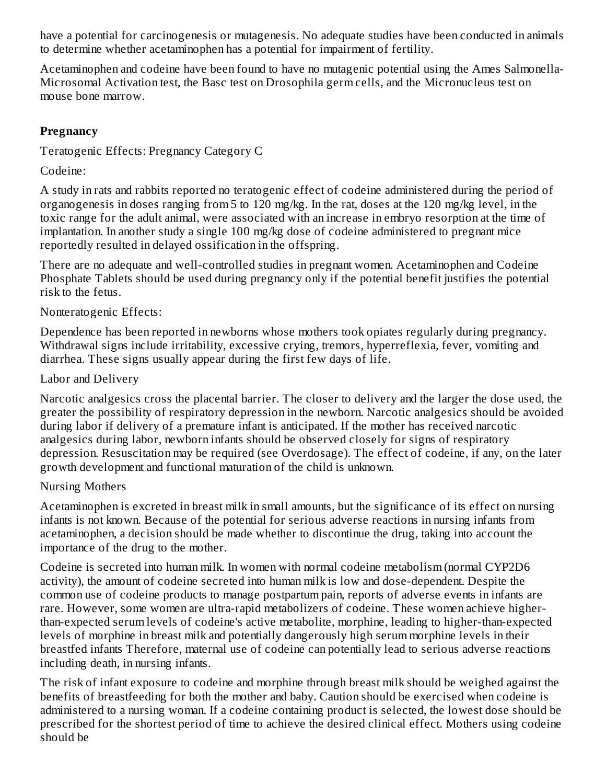have a potential for carcinogenesis or mutagenesis. No adequate studies have been conducted in animals to determine whether acetaminophen has a potential for impairment of fertility.

Acetaminophen and codeine have been found to have no mutagenic potential using the Ames Salmonella-Microsomal Activation test, the Basc test on Drosophila germ cells, and the Micronucleus test on mouse bone marrow.

## **Pregnancy**

Teratogenic Effects: Pregnancy Category C

Codeine:

A study in rats and rabbits reported no teratogenic effect of codeine administered during the period of organogenesis in doses ranging from 5 to 120 mg/kg. In the rat, doses at the 120 mg/kg level, in the toxic range for the adult animal, were associated with an increase in embryo resorption at the time of implantation. In another study a single 100 mg/kg dose of codeine administered to pregnant mice reportedly resulted in delayed ossification in the offspring.

There are no adequate and well-controlled studies in pregnant women. Acetaminophen and Codeine Phosphate Tablets should be used during pregnancy only if the potential benefit justifies the potential risk to the fetus.

#### Nonteratogenic Effects:

Dependence has been reported in newborns whose mothers took opiates regularly during pregnancy. Withdrawal signs include irritability, excessive crying, tremors, hyperreflexia, fever, vomiting and diarrhea. These signs usually appear during the first few days of life.

#### Labor and Delivery

Narcotic analgesics cross the placental barrier. The closer to delivery and the larger the dose used, the greater the possibility of respiratory depression in the newborn. Narcotic analgesics should be avoided during labor if delivery of a premature infant is anticipated. If the mother has received narcotic analgesics during labor, newborn infants should be observed closely for signs of respiratory depression. Resuscitation may be required (see Overdosage). The effect of codeine, if any, on the later growth development and functional maturation of the child is unknown.

## Nursing Mothers

Acetaminophen is excreted in breast milk in small amounts, but the significance of its effect on nursing infants is not known. Because of the potential for serious adverse reactions in nursing infants from acetaminophen, a decision should be made whether to discontinue the drug, taking into account the importance of the drug to the mother.

Codeine is secreted into human milk. In women with normal codeine metabolism (normal CYP2D6 activity), the amount of codeine secreted into human milk is low and dose-dependent. Despite the common use of codeine products to manage postpartum pain, reports of adverse events in infants are rare. However, some women are ultra-rapid metabolizers of codeine. These women achieve higherthan-expected serum levels of codeine's active metabolite, morphine, leading to higher-than-expected levels of morphine in breast milk and potentially dangerously high serum morphine levels in their breastfed infants Therefore, maternal use of codeine can potentially lead to serious adverse reactions including death, in nursing infants.

The risk of infant exposure to codeine and morphine through breast milk should be weighed against the benefits of breastfeeding for both the mother and baby. Caution should be exercised when codeine is administered to a nursing woman. If a codeine containing product is selected, the lowest dose should be prescribed for the shortest period of time to achieve the desired clinical effect. Mothers using codeine should be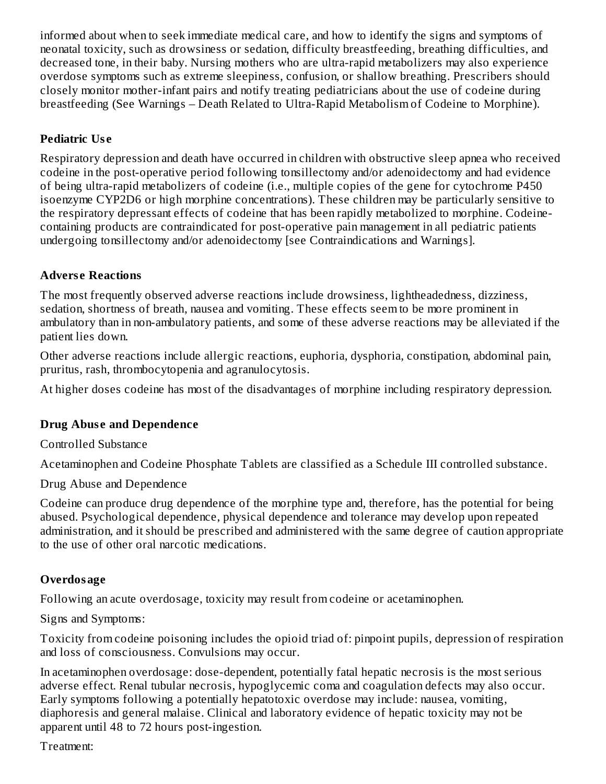informed about when to seek immediate medical care, and how to identify the signs and symptoms of neonatal toxicity, such as drowsiness or sedation, difficulty breastfeeding, breathing difficulties, and decreased tone, in their baby. Nursing mothers who are ultra-rapid metabolizers may also experience overdose symptoms such as extreme sleepiness, confusion, or shallow breathing. Prescribers should closely monitor mother-infant pairs and notify treating pediatricians about the use of codeine during breastfeeding (See Warnings – Death Related to Ultra-Rapid Metabolism of Codeine to Morphine).

## **Pediatric Us e**

Respiratory depression and death have occurred in children with obstructive sleep apnea who received codeine in the post-operative period following tonsillectomy and/or adenoidectomy and had evidence of being ultra-rapid metabolizers of codeine (i.e., multiple copies of the gene for cytochrome P450 isoenzyme CYP2D6 or high morphine concentrations). These children may be particularly sensitive to the respiratory depressant effects of codeine that has been rapidly metabolized to morphine. Codeinecontaining products are contraindicated for post-operative pain management in all pediatric patients undergoing tonsillectomy and/or adenoidectomy [see Contraindications and Warnings].

## **Advers e Reactions**

The most frequently observed adverse reactions include drowsiness, lightheadedness, dizziness, sedation, shortness of breath, nausea and vomiting. These effects seem to be more prominent in ambulatory than in non-ambulatory patients, and some of these adverse reactions may be alleviated if the patient lies down.

Other adverse reactions include allergic reactions, euphoria, dysphoria, constipation, abdominal pain, pruritus, rash, thrombocytopenia and agranulocytosis.

At higher doses codeine has most of the disadvantages of morphine including respiratory depression.

# **Drug Abuse** and **Dependence**

Controlled Substance

Acetaminophen and Codeine Phosphate Tablets are classified as a Schedule III controlled substance.

Drug Abuse and Dependence

Codeine can produce drug dependence of the morphine type and, therefore, has the potential for being abused. Psychological dependence, physical dependence and tolerance may develop upon repeated administration, and it should be prescribed and administered with the same degree of caution appropriate to the use of other oral narcotic medications.

# **Overdosage**

Following an acute overdosage, toxicity may result from codeine or acetaminophen.

Signs and Symptoms:

Toxicity from codeine poisoning includes the opioid triad of: pinpoint pupils, depression of respiration and loss of consciousness. Convulsions may occur.

In acetaminophen overdosage: dose-dependent, potentially fatal hepatic necrosis is the most serious adverse effect. Renal tubular necrosis, hypoglycemic coma and coagulation defects may also occur. Early symptoms following a potentially hepatotoxic overdose may include: nausea, vomiting, diaphoresis and general malaise. Clinical and laboratory evidence of hepatic toxicity may not be apparent until 48 to 72 hours post-ingestion.

Treatment: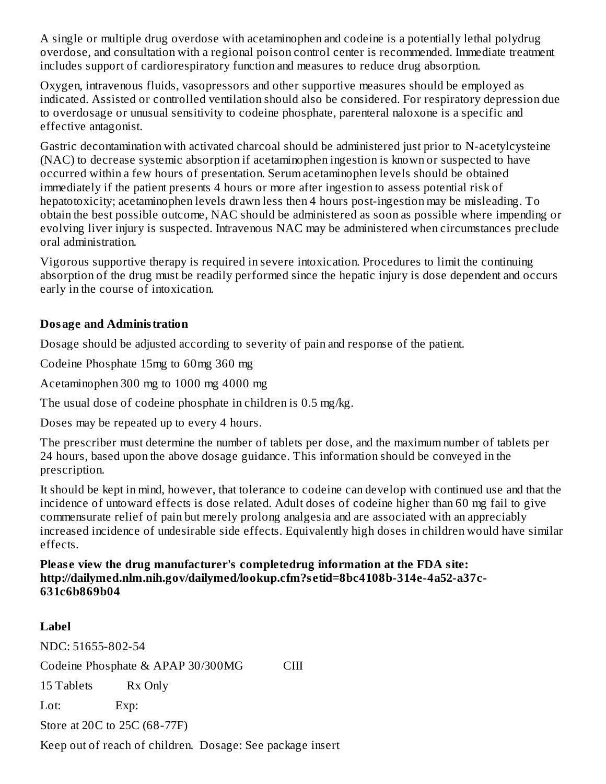A single or multiple drug overdose with acetaminophen and codeine is a potentially lethal polydrug overdose, and consultation with a regional poison control center is recommended. Immediate treatment includes support of cardiorespiratory function and measures to reduce drug absorption.

Oxygen, intravenous fluids, vasopressors and other supportive measures should be employed as indicated. Assisted or controlled ventilation should also be considered. For respiratory depression due to overdosage or unusual sensitivity to codeine phosphate, parenteral naloxone is a specific and effective antagonist.

Gastric decontamination with activated charcoal should be administered just prior to N-acetylcysteine (NAC) to decrease systemic absorption if acetaminophen ingestion is known or suspected to have occurred within a few hours of presentation. Serum acetaminophen levels should be obtained immediately if the patient presents 4 hours or more after ingestion to assess potential risk of hepatotoxicity; acetaminophen levels drawn less then 4 hours post-ingestion may be misleading. To obtain the best possible outcome, NAC should be administered as soon as possible where impending or evolving liver injury is suspected. Intravenous NAC may be administered when circumstances preclude oral administration.

Vigorous supportive therapy is required in severe intoxication. Procedures to limit the continuing absorption of the drug must be readily performed since the hepatic injury is dose dependent and occurs early in the course of intoxication.

## **Dosage and Administration**

Dosage should be adjusted according to severity of pain and response of the patient.

Codeine Phosphate 15mg to 60mg 360 mg

Acetaminophen 300 mg to 1000 mg 4000 mg

The usual dose of codeine phosphate in children is 0.5 mg/kg.

Doses may be repeated up to every 4 hours.

The prescriber must determine the number of tablets per dose, and the maximum number of tablets per 24 hours, based upon the above dosage guidance. This information should be conveyed in the prescription.

It should be kept in mind, however, that tolerance to codeine can develop with continued use and that the incidence of untoward effects is dose related. Adult doses of codeine higher than 60 mg fail to give commensurate relief of pain but merely prolong analgesia and are associated with an appreciably increased incidence of undesirable side effects. Equivalently high doses in children would have similar effects.

**Pleas e view the drug manufacturer's completedrug information at the FDA site: http://dailymed.nlm.nih.gov/dailymed/lookup.cfm?s etid=8bc4108b-314e-4a52-a37c-631c6b869b04**

# **Label**

NDC: 51655-802-54 Codeine Phosphate & APAP 30/300MG CIII 15 Tablets Rx Only Lot: Exp: Store at 20C to 25C (68-77F) Keep out of reach of children. Dosage: See package insert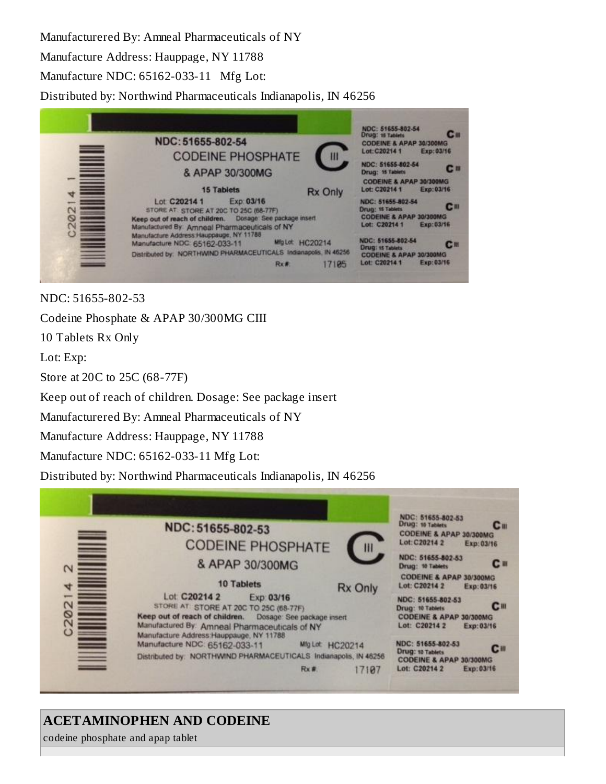Manufacturered By: Amneal Pharmaceuticals of NY Manufacture Address: Hauppage, NY 11788 Manufacture NDC: 65162-033-11 Mfg Lot: Distributed by: Northwind Pharmaceuticals Indianapolis, IN 46256



NDC: 51655-802-53

Codeine Phosphate & APAP 30/300MG CIII

10 Tablets Rx Only

Lot: Exp:

Store at 20C to 25C (68-77F)

Keep out of reach of children. Dosage: See package insert

Manufacturered By: Amneal Pharmaceuticals of NY

Manufacture Address: Hauppage, NY 11788

Manufacture NDC: 65162-033-11 Mfg Lot:

Distributed by: Northwind Pharmaceuticals Indianapolis, IN 46256

|                                                                           | NDC: 51655-802-53<br><b>CODEINE PHOSPHATE</b>                                                                                                                                                                                    | NDC: 51655-802-53<br>Drug: 10 Tablets<br><b>C</b> <sub>III</sub><br><b>CODEINE &amp; APAP 30/300MG</b><br>Lot: C20214 2<br>Exp: 03/16 |                                                                                                                                                  |
|---------------------------------------------------------------------------|----------------------------------------------------------------------------------------------------------------------------------------------------------------------------------------------------------------------------------|---------------------------------------------------------------------------------------------------------------------------------------|--------------------------------------------------------------------------------------------------------------------------------------------------|
| Ē<br>N                                                                    | & APAP 30/300MG<br><b>10 Tablets</b>                                                                                                                                                                                             |                                                                                                                                       | NDC: 51655-802-53<br><b>C</b> III<br>Drug: 10 Tablets<br><b>CODEINE &amp; APAP 30/300MG</b>                                                      |
| Ξ<br>4<br>www.<br>$\mathsf{N}$<br>ග<br>$\mathbf 2$<br>$\ddot{\mathbf{C}}$ | Lot C20214 2<br>Exp: 03/16<br>STORE AT STORE AT 20C TO 25C (68-77F)<br>Keep out of reach of children.<br>Dosage: See package insert<br>Manufactured By: Amneal Pharmaceuticals of NY<br>Manufacture Address: Hauppauge, NY 11788 | <b>Rx Only</b>                                                                                                                        | Lot: C20214 2<br>Exp: 03/16<br>NDC: 51655-802-53<br>c <sub>m</sub><br>Drug: 10 Tablets<br>CODEINE & APAP 30/300MG<br>Lot: C20214 2<br>Exp: 03/16 |
| $\Rightarrow$                                                             | Manufacture NDC: 65162-033-11<br>Mig Lot HC20214<br>Distributed by: NORTHWIND PHARMACEUTICALS Indianapolis, IN 46256<br>Rx #                                                                                                     | 17107                                                                                                                                 | NDC: 51655-802-53<br>$III$<br>Drug: 10 Tablets<br>CODEINE & APAP 30/300MG<br>Lot: C20214 2<br>Exp: 03/16                                         |

# **ACETAMINOPHEN AND CODEINE**

codeine phosphate and apap tablet